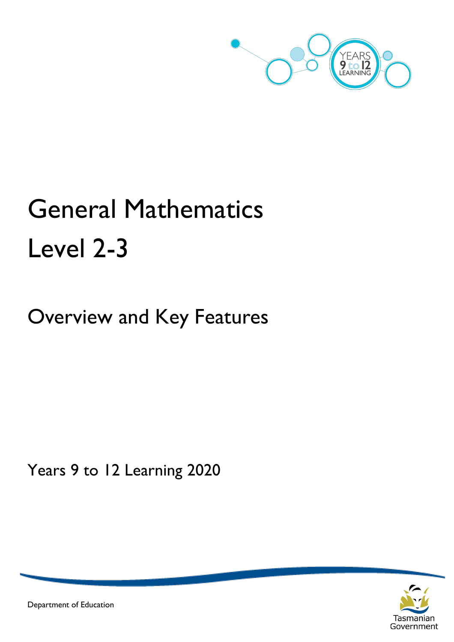

# General Mathematics Level 2-3

Overview and Key Features

Years 9 to 12 Learning 2020



Department of Education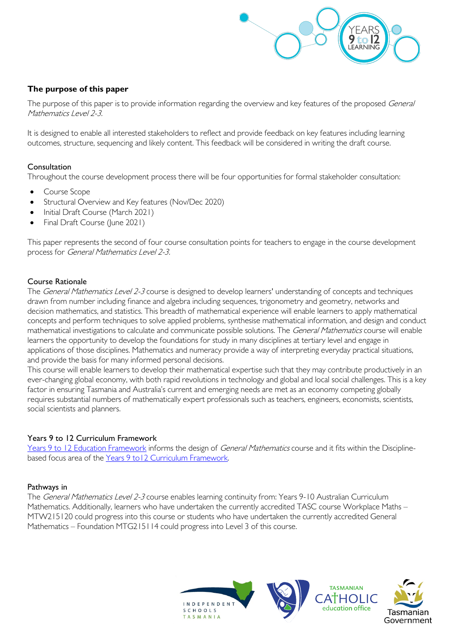

# **The purpose of this paper**

The purpose of this paper is to provide information regarding the overview and key features of the proposed General Mathematics Level 2-3.

It is designed to enable all interested stakeholders to reflect and provide feedback on key features including learning outcomes, structure, sequencing and likely content. This feedback will be considered in writing the draft course.

#### Consultation

Throughout the course development process there will be four opportunities for formal stakeholder consultation:

- Course Scope
- Structural Overview and Key features (Nov/Dec 2020)
- Initial Draft Course (March 2021)
- Final Draft Course (June 2021)

This paper represents the second of four course consultation points for teachers to engage in the course development process for General Mathematics Level 2-3.

#### Course Rationale

The General Mathematics Level 2-3 course is designed to develop learners' understanding of concepts and techniques drawn from number including finance and algebra including sequences, trigonometry and geometry, networks and decision mathematics, and statistics. This breadth of mathematical experience will enable learners to apply mathematical concepts and perform techniques to solve applied problems, synthesise mathematical information, and design and conduct mathematical investigations to calculate and communicate possible solutions. The General Mathematics course will enable learners the opportunity to develop the foundations for study in many disciplines at tertiary level and engage in applications of those disciplines. Mathematics and numeracy provide a way of interpreting everyday practical situations, and provide the basis for many informed personal decisions.

This course will enable learners to develop their mathematical expertise such that they may contribute productively in an ever-changing global economy, with both rapid revolutions in technology and global and local social challenges. This is a key factor in ensuring Tasmania and Australia's current and emerging needs are met as an economy competing globally requires substantial numbers of mathematically expert professionals such as teachers, engineers, economists, scientists, social scientists and planners.

#### Years 9 to 12 Curriculum Framework

[Years 9 to 12 Education Framework](https://publicdocumentcentre.education.tas.gov.au/library/Shared%20Documents/Years-9-to-12-Education-Framework.pdf) informs the design of General Mathematics course and it fits within the Disciplinebased focus area of the [Years 9 to12 Curriculum Framework.](https://publicdocumentcentre.education.tas.gov.au/library/Shared%20Documents/Education%209-12%20Frameworks%20A3%20WEB%20POSTER.pdf) 

#### Pathways in

The General Mathematics Level 2-3 course enables learning continuity from: Years 9-10 Australian Curriculum Mathematics. Additionally, learners who have undertaken the currently accredited TASC course Workplace Maths – MTW215120 could progress into this course or students who have undertaken the currently accredited General Mathematics – Foundation MTG215114 could progress into Level 3 of this course.

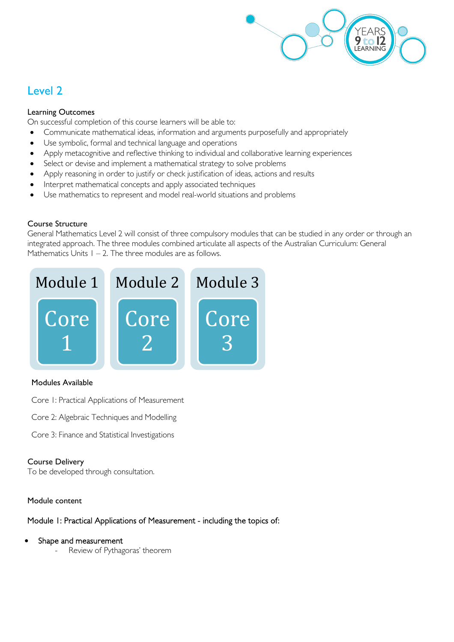

# Level 2

# Learning Outcomes

On successful completion of this course learners will be able to:

- Communicate mathematical ideas, information and arguments purposefully and appropriately
- Use symbolic, formal and technical language and operations
- Apply metacognitive and reflective thinking to individual and collaborative learning experiences
- Select or devise and implement a mathematical strategy to solve problems
- Apply reasoning in order to justify or check justification of ideas, actions and results
- Interpret mathematical concepts and apply associated techniques
- Use mathematics to represent and model real-world situations and problems

# Course Structure

General Mathematics Level 2 will consist of three compulsory modules that can be studied in any order or through an integrated approach. The three modules combined articulate all aspects of the Australian Curriculum: General Mathematics Units  $1 - 2$ . The three modules are as follows.



# Modules Available

Core 1: Practical Applications of Measurement

- Core 2: Algebraic Techniques and Modelling
- Core 3: Finance and Statistical Investigations

# Course Delivery

To be developed through consultation.

# Module content

Module 1: Practical Applications of Measurement - including the topics of:

- Shape and measurement
	- Review of Pythagoras' theorem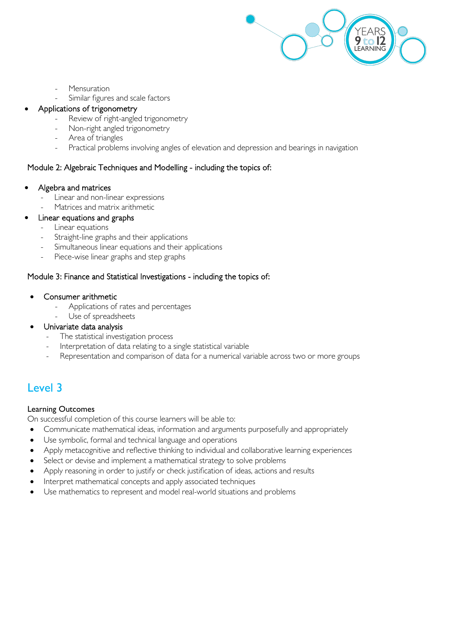

- **Mensuration**
- Similar figures and scale factors

#### • Applications of trigonometry

- Review of right-angled trigonometry
- Non-right angled trigonometry
- Area of triangles
- Practical problems involving angles of elevation and depression and bearings in navigation

# Module 2: Algebraic Techniques and Modelling - including the topics of:

#### • Algebra and matrices

- Linear and non-linear expressions
- Matrices and matrix arithmetic
- Linear equations and graphs
	- Linear equations
	- Straight-line graphs and their applications
	- Simultaneous linear equations and their applications
	- Piece-wise linear graphs and step graphs

# Module 3: Finance and Statistical Investigations - including the topics of:

- Consumer arithmetic
	- Applications of rates and percentages
	- Use of spreadsheets
- Univariate data analysis
	- The statistical investigation process
	- Interpretation of data relating to a single statistical variable
	- Representation and comparison of data for a numerical variable across two or more groups

# Level 3

# Learning Outcomes

On successful completion of this course learners will be able to:

- Communicate mathematical ideas, information and arguments purposefully and appropriately
- Use symbolic, formal and technical language and operations
- Apply metacognitive and reflective thinking to individual and collaborative learning experiences
- Select or devise and implement a mathematical strategy to solve problems
- Apply reasoning in order to justify or check justification of ideas, actions and results
- Interpret mathematical concepts and apply associated techniques
- Use mathematics to represent and model real-world situations and problems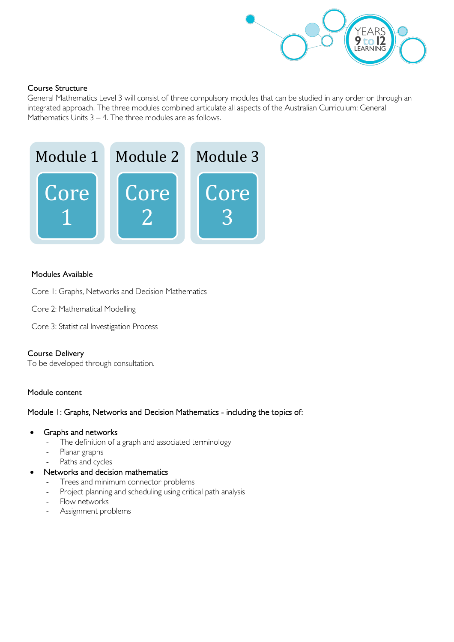

# Course Structure

General Mathematics Level 3 will consist of three compulsory modules that can be studied in any order or through an integrated approach. The three modules combined articulate all aspects of the Australian Curriculum: General Mathematics Units 3 – 4. The three modules are as follows.



#### Modules Available

Core 1: Graphs, Networks and Decision Mathematics

Core 2: Mathematical Modelling

Core 3: Statistical Investigation Process

#### Course Delivery

To be developed through consultation.

#### Module content

#### Module 1: Graphs, Networks and Decision Mathematics - including the topics of:

- Graphs and networks
	- The definition of a graph and associated terminology
	- Planar graphs
	- Paths and cycles
- Networks and decision mathematics
	- Trees and minimum connector problems
	- Project planning and scheduling using critical path analysis
	- Flow networks
	- Assignment problems